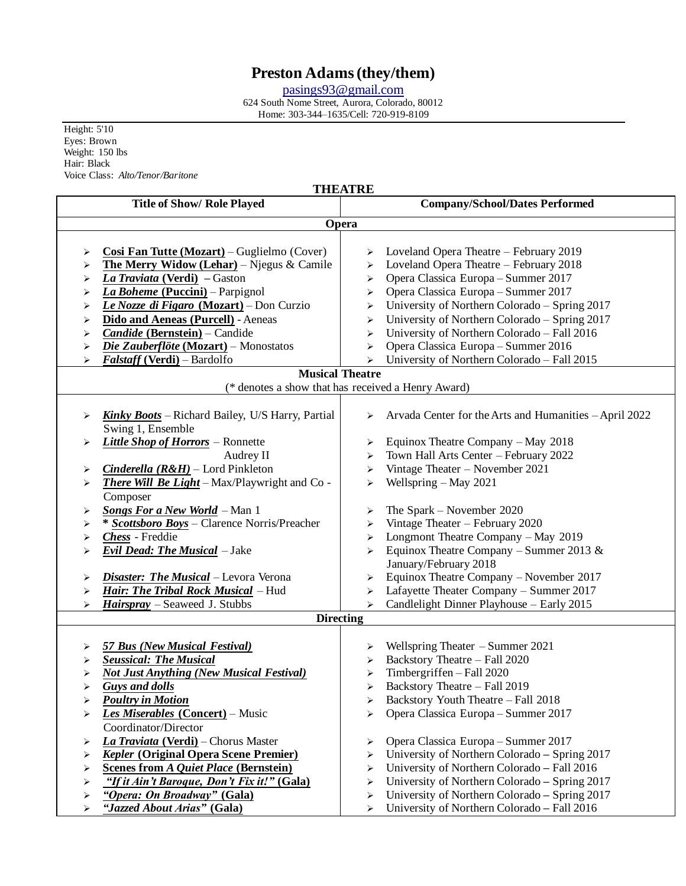# **Preston Adams(they/them)**

[pasings93@gmail.com](mailto:pasings93@gmail.com)

624 South Nome Street, Aurora, Colorado, 80012 Home: 303-344–1635/Cell: 720-919-8109

Height: 5'10 Eyes: Brown Weight: 150 lbs Hair: Black Voice Class: *Alto/Tenor/Baritone*

 $\mathsf{I}$ 

## **THEATRE**

| Title of Show/ Role Played                                                                                                                                                                                                                                                                                                                                                                                 | <b>Company/School/Dates Performed</b>                                                                                                                                                                                                                                                                                                                                                                                                         |  |
|------------------------------------------------------------------------------------------------------------------------------------------------------------------------------------------------------------------------------------------------------------------------------------------------------------------------------------------------------------------------------------------------------------|-----------------------------------------------------------------------------------------------------------------------------------------------------------------------------------------------------------------------------------------------------------------------------------------------------------------------------------------------------------------------------------------------------------------------------------------------|--|
| Opera                                                                                                                                                                                                                                                                                                                                                                                                      |                                                                                                                                                                                                                                                                                                                                                                                                                                               |  |
|                                                                                                                                                                                                                                                                                                                                                                                                            |                                                                                                                                                                                                                                                                                                                                                                                                                                               |  |
| Cosi Fan Tutte (Mozart) – Guglielmo (Cover)<br>➤<br><b>The Merry Widow (Lehar)</b> – Njegus & Camile<br>⋗<br>La Traviata (Verdi) - Gaston<br>⋗<br>La Boheme (Puccini) - Parpignol<br>⋗<br>Le Nozze di Figaro (Mozart) – Don Curzio<br>≻<br>Dido and Aeneas (Purcell) - Aeneas<br>➤<br>Candide (Bernstein) - Candide<br>⋗<br>Die Zauberflöte (Mozart) – Monostatos<br>⋗<br>Falstaff (Verdi) - Bardolfo<br>⋗ | Loveland Opera Theatre – February 2019<br>➤<br>Loveland Opera Theatre - February 2018<br>➤<br>Opera Classica Europa - Summer 2017<br>➤<br>Opera Classica Europa - Summer 2017<br>≻<br>University of Northern Colorado - Spring 2017<br>➤<br>University of Northern Colorado - Spring 2017<br>⋗<br>University of Northern Colorado - Fall 2016<br>⋗<br>Opera Classica Europa - Summer 2016<br>≻<br>University of Northern Colorado - Fall 2015 |  |
|                                                                                                                                                                                                                                                                                                                                                                                                            | <b>Musical Theatre</b>                                                                                                                                                                                                                                                                                                                                                                                                                        |  |
| (* denotes a show that has received a Henry Award)                                                                                                                                                                                                                                                                                                                                                         |                                                                                                                                                                                                                                                                                                                                                                                                                                               |  |
| <b>Kinky Boots</b> – Richard Bailey, U/S Harry, Partial<br>⋗<br>Swing 1, Ensemble                                                                                                                                                                                                                                                                                                                          | Arvada Center for the Arts and Humanities - April 2022<br>➤                                                                                                                                                                                                                                                                                                                                                                                   |  |
| Little Shop of Horrors - Ronnette                                                                                                                                                                                                                                                                                                                                                                          | Equinox Theatre Company - May 2018                                                                                                                                                                                                                                                                                                                                                                                                            |  |
| ⋗                                                                                                                                                                                                                                                                                                                                                                                                          | ➤                                                                                                                                                                                                                                                                                                                                                                                                                                             |  |
| Audrey II                                                                                                                                                                                                                                                                                                                                                                                                  | Town Hall Arts Center - February 2022<br>≻                                                                                                                                                                                                                                                                                                                                                                                                    |  |
| <i>Cinderella (R&amp;H)</i> – Lord Pinkleton                                                                                                                                                                                                                                                                                                                                                               | Vintage Theater - November 2021                                                                                                                                                                                                                                                                                                                                                                                                               |  |
| ➤                                                                                                                                                                                                                                                                                                                                                                                                          | ≻                                                                                                                                                                                                                                                                                                                                                                                                                                             |  |
| There Will Be Light - Max/Playwright and Co -<br>➤<br>Composer                                                                                                                                                                                                                                                                                                                                             | Wellspring $-$ May 2021<br>≻                                                                                                                                                                                                                                                                                                                                                                                                                  |  |
| <b>Songs For a New World</b> - Man 1                                                                                                                                                                                                                                                                                                                                                                       | The Spark – November 2020                                                                                                                                                                                                                                                                                                                                                                                                                     |  |
| ⋗                                                                                                                                                                                                                                                                                                                                                                                                          | ➤                                                                                                                                                                                                                                                                                                                                                                                                                                             |  |
| * Scottsboro Boys - Clarence Norris/Preacher                                                                                                                                                                                                                                                                                                                                                               | Vintage Theater - February 2020                                                                                                                                                                                                                                                                                                                                                                                                               |  |
| ⋗                                                                                                                                                                                                                                                                                                                                                                                                          | ≻                                                                                                                                                                                                                                                                                                                                                                                                                                             |  |
| Chess - Freddie                                                                                                                                                                                                                                                                                                                                                                                            | Longmont Theatre Company - May 2019                                                                                                                                                                                                                                                                                                                                                                                                           |  |
| ⋗                                                                                                                                                                                                                                                                                                                                                                                                          | ≻                                                                                                                                                                                                                                                                                                                                                                                                                                             |  |
| Evil Dead: The Musical - Jake<br>⋗                                                                                                                                                                                                                                                                                                                                                                         | Equinox Theatre Company - Summer 2013 &<br>≻<br>January/February 2018                                                                                                                                                                                                                                                                                                                                                                         |  |
| Disaster: The Musical - Levora Verona                                                                                                                                                                                                                                                                                                                                                                      | Equinox Theatre Company - November 2017                                                                                                                                                                                                                                                                                                                                                                                                       |  |
| ⋗                                                                                                                                                                                                                                                                                                                                                                                                          | ➤                                                                                                                                                                                                                                                                                                                                                                                                                                             |  |
| Hair: The Tribal Rock Musical - Hud                                                                                                                                                                                                                                                                                                                                                                        | Lafayette Theater Company - Summer 2017                                                                                                                                                                                                                                                                                                                                                                                                       |  |
| ⋗                                                                                                                                                                                                                                                                                                                                                                                                          | ≻                                                                                                                                                                                                                                                                                                                                                                                                                                             |  |
| Hairspray - Seaweed J. Stubbs                                                                                                                                                                                                                                                                                                                                                                              | Candlelight Dinner Playhouse - Early 2015                                                                                                                                                                                                                                                                                                                                                                                                     |  |
| ⋗                                                                                                                                                                                                                                                                                                                                                                                                          | $\blacktriangleright$                                                                                                                                                                                                                                                                                                                                                                                                                         |  |
| <b>Directing</b>                                                                                                                                                                                                                                                                                                                                                                                           |                                                                                                                                                                                                                                                                                                                                                                                                                                               |  |
| <b>57 Bus (New Musical Festival)</b>                                                                                                                                                                                                                                                                                                                                                                       | Wellspring Theater – Summer 2021                                                                                                                                                                                                                                                                                                                                                                                                              |  |
| ⋗                                                                                                                                                                                                                                                                                                                                                                                                          | ➤                                                                                                                                                                                                                                                                                                                                                                                                                                             |  |
| <b>Seussical: The Musical</b>                                                                                                                                                                                                                                                                                                                                                                              | Backstory Theatre - Fall 2020                                                                                                                                                                                                                                                                                                                                                                                                                 |  |
| ⋗                                                                                                                                                                                                                                                                                                                                                                                                          | ≻                                                                                                                                                                                                                                                                                                                                                                                                                                             |  |
| <b>Not Just Anything (New Musical Festival)</b>                                                                                                                                                                                                                                                                                                                                                            | Timbergriffen - Fall 2020                                                                                                                                                                                                                                                                                                                                                                                                                     |  |
| ⋗                                                                                                                                                                                                                                                                                                                                                                                                          | ➤                                                                                                                                                                                                                                                                                                                                                                                                                                             |  |
| <b>Guys and dolls</b>                                                                                                                                                                                                                                                                                                                                                                                      | Backstory Theatre - Fall 2019                                                                                                                                                                                                                                                                                                                                                                                                                 |  |
| ≻                                                                                                                                                                                                                                                                                                                                                                                                          | ➤                                                                                                                                                                                                                                                                                                                                                                                                                                             |  |
| <b>Poultry in Motion</b>                                                                                                                                                                                                                                                                                                                                                                                   | Backstory Youth Theatre - Fall 2018                                                                                                                                                                                                                                                                                                                                                                                                           |  |
| ⋗                                                                                                                                                                                                                                                                                                                                                                                                          | ➤                                                                                                                                                                                                                                                                                                                                                                                                                                             |  |
| Les Miserables (Concert) - Music<br>⋗<br>Coordinator/Director                                                                                                                                                                                                                                                                                                                                              | Opera Classica Europa - Summer 2017                                                                                                                                                                                                                                                                                                                                                                                                           |  |
| La Traviata (Verdi) – Chorus Master                                                                                                                                                                                                                                                                                                                                                                        | Opera Classica Europa - Summer 2017                                                                                                                                                                                                                                                                                                                                                                                                           |  |
| ⋗                                                                                                                                                                                                                                                                                                                                                                                                          | ➤                                                                                                                                                                                                                                                                                                                                                                                                                                             |  |
| <b>Kepler (Original Opera Scene Premier)</b>                                                                                                                                                                                                                                                                                                                                                               | University of Northern Colorado - Spring 2017                                                                                                                                                                                                                                                                                                                                                                                                 |  |
| ⋗                                                                                                                                                                                                                                                                                                                                                                                                          | ➤                                                                                                                                                                                                                                                                                                                                                                                                                                             |  |
| <b>Scenes from A Quiet Place (Bernstein)</b>                                                                                                                                                                                                                                                                                                                                                               | University of Northern Colorado - Fall 2016                                                                                                                                                                                                                                                                                                                                                                                                   |  |
| ➤                                                                                                                                                                                                                                                                                                                                                                                                          | ➤                                                                                                                                                                                                                                                                                                                                                                                                                                             |  |
| "If it Ain't Baroque, Don't Fix it!" (Gala)                                                                                                                                                                                                                                                                                                                                                                | University of Northern Colorado - Spring 2017                                                                                                                                                                                                                                                                                                                                                                                                 |  |
| ➤                                                                                                                                                                                                                                                                                                                                                                                                          | ➤                                                                                                                                                                                                                                                                                                                                                                                                                                             |  |
| "Opera: On Broadway" (Gala)                                                                                                                                                                                                                                                                                                                                                                                | University of Northern Colorado - Spring 2017                                                                                                                                                                                                                                                                                                                                                                                                 |  |
| ➤                                                                                                                                                                                                                                                                                                                                                                                                          | ➤                                                                                                                                                                                                                                                                                                                                                                                                                                             |  |
| "Jazzed About Arias" (Gala)                                                                                                                                                                                                                                                                                                                                                                                | University of Northern Colorado - Fall 2016                                                                                                                                                                                                                                                                                                                                                                                                   |  |
| ➤                                                                                                                                                                                                                                                                                                                                                                                                          | ≻                                                                                                                                                                                                                                                                                                                                                                                                                                             |  |